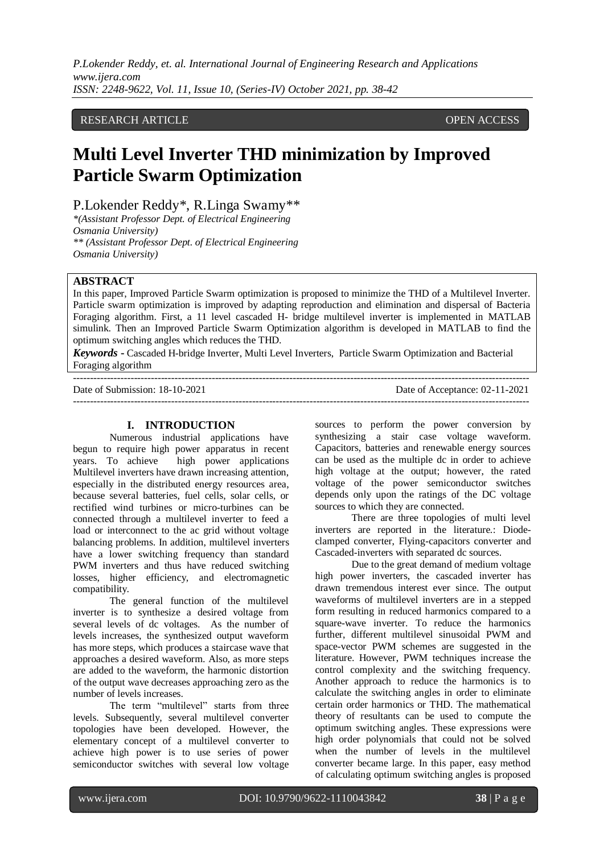*P.Lokender Reddy, et. al. International Journal of Engineering Research and Applications www.ijera.com ISSN: 2248-9622, Vol. 11, Issue 10, (Series-IV) October 2021, pp. 38-42*

## RESEARCH ARTICLE **CONSERVERS** OPEN ACCESS

# **Multi Level Inverter THD minimization by Improved Particle Swarm Optimization**

P.Lokender Reddy\*, R.Linga Swamy\*\*

*\*(Assistant Professor Dept. of Electrical Engineering Osmania University) \*\* (Assistant Professor Dept. of Electrical Engineering Osmania University)*

### **ABSTRACT**

In this paper, Improved Particle Swarm optimization is proposed to minimize the THD of a Multilevel Inverter. Particle swarm optimization is improved by adapting reproduction and elimination and dispersal of Bacteria Foraging algorithm. First, a 11 level cascaded H- bridge multilevel inverter is implemented in MATLAB simulink. Then an Improved Particle Swarm Optimization algorithm is developed in MATLAB to find the optimum switching angles which reduces the THD.

*Keywords* **-** Cascaded H-bridge Inverter, Multi Level Inverters, Particle Swarm Optimization and Bacterial Foraging algorithm

 $-++++++++++$ 

Date of Submission: 18-10-2021 Date of Acceptance: 02-11-2021 ---------------------------------------------------------------------------------------------------------------------------------------

#### **I. INTRODUCTION**

Numerous industrial applications have begun to require high power apparatus in recent years. To achieve high power applications Multilevel inverters have drawn increasing attention, especially in the distributed energy resources area, because several batteries, fuel cells, solar cells, or rectified wind turbines or micro-turbines can be connected through a multilevel inverter to feed a load or interconnect to the ac grid without voltage balancing problems. In addition, multilevel inverters have a lower switching frequency than standard PWM inverters and thus have reduced switching losses, higher efficiency, and electromagnetic compatibility.

The general function of the multilevel inverter is to synthesize a desired voltage from several levels of dc voltages. As the number of levels increases, the synthesized output waveform has more steps, which produces a staircase wave that approaches a desired waveform. Also, as more steps are added to the waveform, the harmonic distortion of the output wave decreases approaching zero as the number of levels increases.

The term "multilevel" starts from three levels. Subsequently, several multilevel converter topologies have been developed. However, the elementary concept of a multilevel converter to achieve high power is to use series of power semiconductor switches with several low voltage

sources to perform the power conversion by synthesizing a stair case voltage waveform. Capacitors, batteries and renewable energy sources can be used as the multiple dc in order to achieve high voltage at the output; however, the rated voltage of the power semiconductor switches depends only upon the ratings of the DC voltage sources to which they are connected.

There are three topologies of multi level inverters are reported in the literature.: Diodeclamped converter, Flying-capacitors converter and Cascaded-inverters with separated dc sources.

Due to the great demand of medium voltage high power inverters, the cascaded inverter has drawn tremendous interest ever since. The output waveforms of multilevel inverters are in a stepped form resulting in reduced harmonics compared to a square-wave inverter. To reduce the harmonics further, different multilevel sinusoidal PWM and space-vector PWM schemes are suggested in the literature. However, PWM techniques increase the control complexity and the switching frequency. Another approach to reduce the harmonics is to calculate the switching angles in order to eliminate certain order harmonics or THD. The mathematical theory of resultants can be used to compute the optimum switching angles. These expressions were high order polynomials that could not be solved when the number of levels in the multilevel converter became large. In this paper, easy method of calculating optimum switching angles is proposed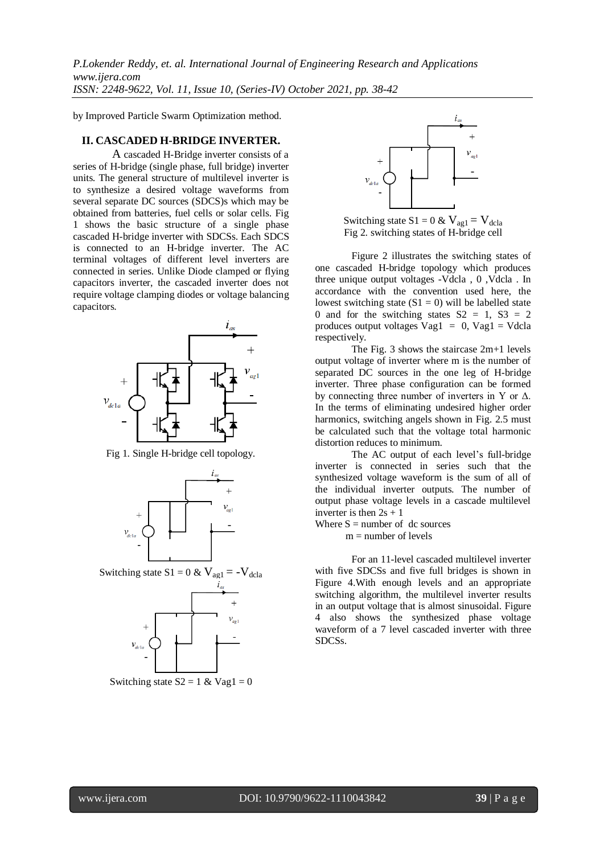*P.Lokender Reddy, et. al. International Journal of Engineering Research and Applications www.ijera.com ISSN: 2248-9622, Vol. 11, Issue 10, (Series-IV) October 2021, pp. 38-42*

by Improved Particle Swarm Optimization method.

## **II. CASCADED H-BRIDGE INVERTER.**

A cascaded H-Bridge inverter consists of a series of H-bridge (single phase, full bridge) inverter units. The general structure of multilevel inverter is to synthesize a desired voltage waveforms from several separate DC sources (SDCS)s which may be obtained from batteries, fuel cells or solar cells. Fig 1 shows the basic structure of a single phase cascaded H-bridge inverter with SDCSs. Each SDCS is connected to an H-bridge inverter. The AC terminal voltages of different level inverters are connected in series. Unlike Diode clamped or flying capacitors inverter, the cascaded inverter does not require voltage clamping diodes or voltage balancing capacitors.



Fig 1. Single H-bridge cell topology.



Switching state  $S1 = 0$  &  $V_{ag1} = -V_{dcla}$ 



Switching state  $S2 = 1 \& Vag1 = 0$ 



Switching state S1 = 0 &  $V_{\text{ag1}} = V_{\text{dcla}}$ Fig 2. switching states of H-bridge cell

Figure 2 illustrates the switching states of one cascaded H-bridge topology which produces three unique output voltages -Vdcla , 0 ,Vdcla . In accordance with the convention used here, the lowest switching state  $(S1 = 0)$  will be labelled state 0 and for the switching states  $S2 = 1$ ,  $S3 = 2$ produces output voltages  $Vag1 = 0$ ,  $Vag1 = Vdcla$ respectively.

The Fig. 3 shows the staircase 2m+1 levels output voltage of inverter where m is the number of separated DC sources in the one leg of H-bridge inverter. Three phase configuration can be formed by connecting three number of inverters in Y or  $\Delta$ . In the terms of eliminating undesired higher order harmonics, switching angels shown in Fig. 2.5 must be calculated such that the voltage total harmonic distortion reduces to minimum.

The AC output of each level's full-bridge inverter is connected in series such that the synthesized voltage waveform is the sum of all of the individual inverter outputs. The number of output phase voltage levels in a cascade multilevel inverter is then  $2s + 1$ 

Where  $S =$  number of dc sources

 $m =$  number of levels

For an 11-level cascaded multilevel inverter with five SDCSs and five full bridges is shown in Figure 4.With enough levels and an appropriate switching algorithm, the multilevel inverter results in an output voltage that is almost sinusoidal. Figure 4 also shows the synthesized phase voltage waveform of a 7 level cascaded inverter with three SDCSs.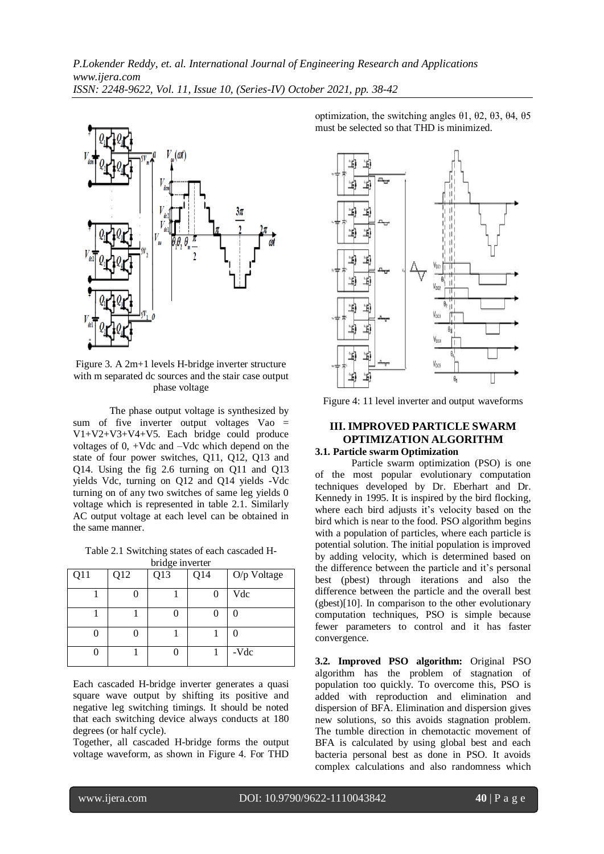

Figure 3. A 2m+1 levels H-bridge inverter structure with m separated dc sources and the stair case output phase voltage

The phase output voltage is synthesized by sum of five inverter output voltages Vao = V1+V2+V3+V4+V5. Each bridge could produce voltages of 0, +Vdc and –Vdc which depend on the state of four power switches, Q11, Q12, Q13 and Q14. Using the fig 2.6 turning on Q11 and Q13 yields Vdc, turning on Q12 and Q14 yields -Vdc turning on of any two switches of same leg yields 0 voltage which is represented in table 2.1. Similarly AC output voltage at each level can be obtained in the same manner.

Table 2.1 Switching states of each cascaded Hbridge inverter

| $\frac{1}{2}$ |     |     |     |             |  |  |  |  |
|---------------|-----|-----|-----|-------------|--|--|--|--|
| Q11           | Q12 | Q13 | Q14 | O/p Voltage |  |  |  |  |
|               |     |     | 0   | Vdc         |  |  |  |  |
|               |     |     |     |             |  |  |  |  |
|               |     |     |     |             |  |  |  |  |
|               |     |     |     | -Vdc        |  |  |  |  |

Each cascaded H-bridge inverter generates a quasi square wave output by shifting its positive and negative leg switching timings. It should be noted that each switching device always conducts at 180 degrees (or half cycle).

Together, all cascaded H-bridge forms the output voltage waveform, as shown in Figure 4. For THD

optimization, the switching angles θ1, θ2, θ3, θ4, θ5 must be selected so that THD is minimized.



Figure 4: 11 level inverter and output waveforms

# **III. IMPROVED PARTICLE SWARM OPTIMIZATION ALGORITHM**

## **3.1. Particle swarm Optimization**

Particle swarm optimization (PSO) is one of the most popular evolutionary computation techniques developed by Dr. Eberhart and Dr. Kennedy in 1995. It is inspired by the bird flocking, where each bird adjusts it's velocity based on the bird which is near to the food. PSO algorithm begins with a population of particles, where each particle is potential solution. The initial population is improved by adding velocity, which is determined based on the difference between the particle and it's personal best (pbest) through iterations and also the difference between the particle and the overall best (gbest)[10]. In comparison to the other evolutionary computation techniques, PSO is simple because fewer parameters to control and it has faster convergence.

**3.2. Improved PSO algorithm:** Original PSO algorithm has the problem of stagnation of population too quickly. To overcome this, PSO is added with reproduction and elimination and dispersion of BFA. Elimination and dispersion gives new solutions, so this avoids stagnation problem. The tumble direction in chemotactic movement of BFA is calculated by using global best and each bacteria personal best as done in PSO. It avoids complex calculations and also randomness which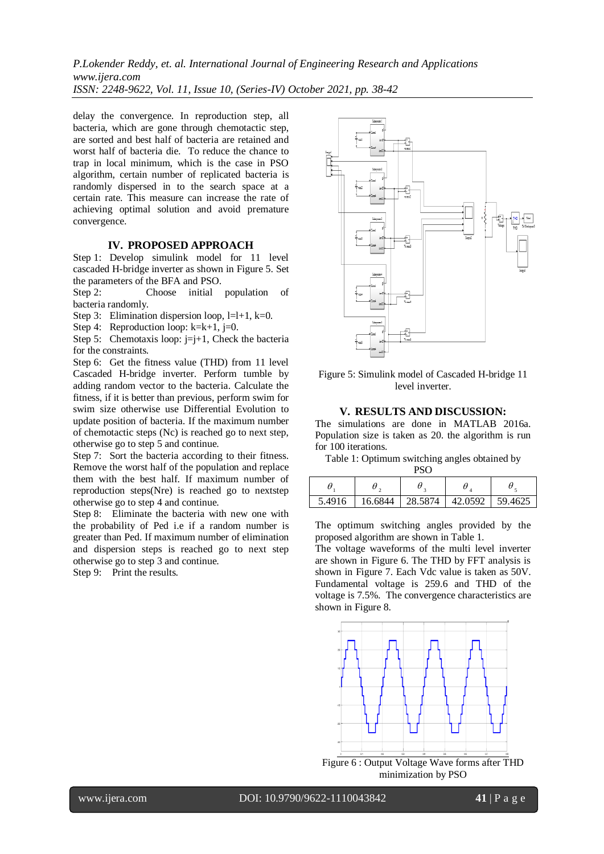*P.Lokender Reddy, et. al. International Journal of Engineering Research and Applications www.ijera.com ISSN: 2248-9622, Vol. 11, Issue 10, (Series-IV) October 2021, pp. 38-42*

delay the convergence. In reproduction step, all bacteria, which are gone through chemotactic step, are sorted and best half of bacteria are retained and worst half of bacteria die. To reduce the chance to trap in local minimum, which is the case in PSO algorithm, certain number of replicated bacteria is randomly dispersed in to the search space at a certain rate. This measure can increase the rate of achieving optimal solution and avoid premature convergence.

#### **IV. PROPOSED APPROACH**

Step 1: Develop simulink model for 11 level cascaded H-bridge inverter as shown in Figure 5. Set the parameters of the BFA and PSO.

Step 2: Choose initial population of bacteria randomly.

Step 3: Elimination dispersion loop,  $l=l+1$ ,  $k=0$ .

Step 4: Reproduction loop:  $k=k+1$ ,  $j=0$ .

Step 5: Chemotaxis loop:  $j=j+1$ , Check the bacteria for the constraints.

Step 6: Get the fitness value (THD) from 11 level Cascaded H-bridge inverter. Perform tumble by adding random vector to the bacteria. Calculate the fitness, if it is better than previous, perform swim for swim size otherwise use Differential Evolution to update position of bacteria. If the maximum number of chemotactic steps (Nc) is reached go to next step, otherwise go to step 5 and continue.

Step 7: Sort the bacteria according to their fitness. Remove the worst half of the population and replace them with the best half. If maximum number of reproduction steps(Nre) is reached go to nextstep otherwise go to step 4 and continue.

Step 8: Eliminate the bacteria with new one with the probability of Ped i.e if a random number is greater than Ped. If maximum number of elimination and dispersion steps is reached go to next step otherwise go to step 3 and continue.

Step 9: Print the results.



Figure 5: Simulink model of Cascaded H-bridge 11 level inverter.

## **V. RESULTS AND DISCUSSION:**

The simulations are done in MATLAB 2016a. Population size is taken as 20. the algorithm is run for 100 iterations.

Table 1: Optimum switching angles obtained by  $\overline{P}$ 

| rov    |         |         |         |         |  |  |  |
|--------|---------|---------|---------|---------|--|--|--|
|        |         |         |         |         |  |  |  |
| 5.4916 | 16.6844 | 28.5874 | 42.0592 | 59.4625 |  |  |  |

The optimum switching angles provided by the proposed algorithm are shown in Table 1.

The voltage waveforms of the multi level inverter are shown in Figure 6. The THD by FFT analysis is shown in Figure 7. Each Vdc value is taken as 50V. Fundamental voltage is 259.6 and THD of the voltage is 7.5%. The convergence characteristics are shown in Figure 8.